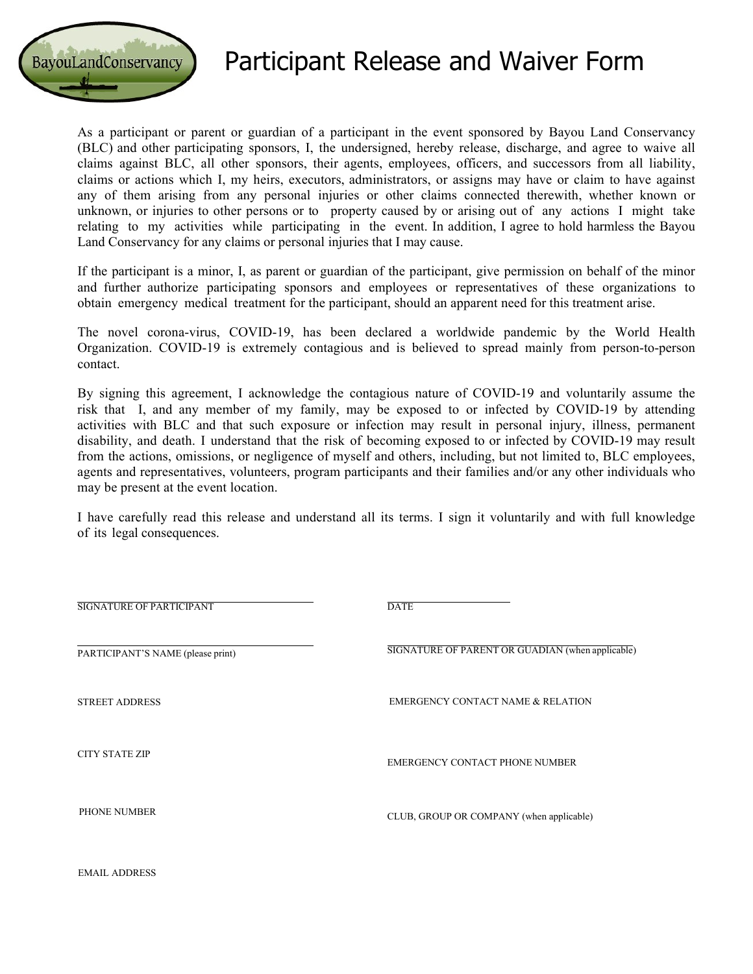

## Participant Release and Waiver Form

As a participant or parent or guardian of a participant in the event sponsored by Bayou Land Conservancy (BLC) and other participating sponsors, I, the undersigned, hereby release, discharge, and agree to waive all claims against BLC, all other sponsors, their agents, employees, officers, and successors from all liability, claims or actions which I, my heirs, executors, administrators, or assigns may have or claim to have against any of them arising from any personal injuries or other claims connected therewith, whether known or unknown, or injuries to other persons or to property caused by or arising out of any actions I might take relating to my activities while participating in the event. In addition, I agree to hold harmless the Bayou Land Conservancy for any claims or personal injuries that I may cause.

If the participant is a minor, I, as parent or guardian of the participant, give permission on behalf of the minor and further authorize participating sponsors and employees or representatives of these organizations to obtain emergency medical treatment for the participant, should an apparent need for this treatment arise.

The novel corona-virus, COVID-19, has been declared a worldwide pandemic by the World Health Organization. COVID-19 is extremely contagious and is believed to spread mainly from person-to-person contact.

By signing this agreement, I acknowledge the contagious nature of COVID-19 and voluntarily assume the risk that I, and any member of my family, may be exposed to or infected by COVID-19 by attending activities with BLC and that such exposure or infection may result in personal injury, illness, permanent disability, and death. I understand that the risk of becoming exposed to or infected by COVID-19 may result from the actions, omissions, or negligence of myself and others, including, but not limited to, BLC employees, agents and representatives, volunteers, program participants and their families and/or any other individuals who may be present at the event location.

I have carefully read this release and understand all its terms. I sign it voluntarily and with full knowledge of its legal consequences.

| <b>DATE</b>                                      |
|--------------------------------------------------|
| SIGNATURE OF PARENT OR GUADIAN (when applicable) |
| <b>EMERGENCY CONTACT NAME &amp; RELATION</b>     |
| EMERGENCY CONTACT PHONE NUMBER                   |
| CLUB, GROUP OR COMPANY (when applicable)         |
|                                                  |

EMAIL ADDRESS